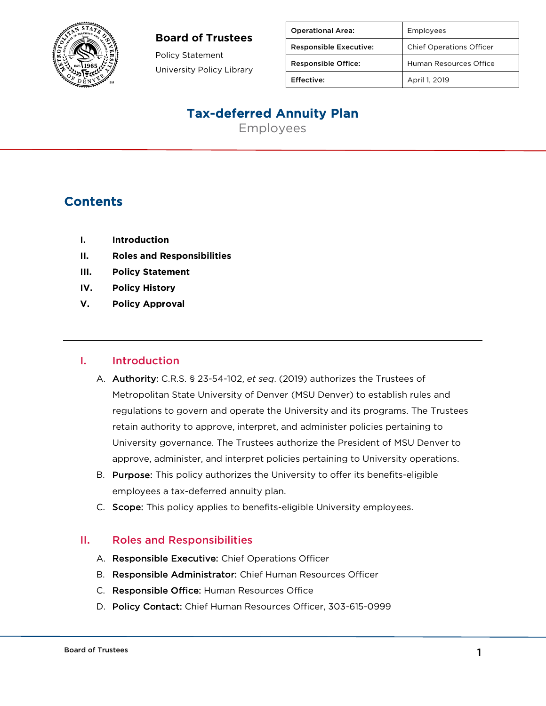

#### **Board of Trustees**

Policy Statement University Policy Library

| <b>Operational Area:</b>      | Employees                       |
|-------------------------------|---------------------------------|
| <b>Responsible Executive:</b> | <b>Chief Operations Officer</b> |
| <b>Responsible Office:</b>    | Human Resources Office          |
| Effective:                    | April 1, 2019                   |

## Tax-deferred Annuity Plan

Employees

### **Contents**

- **I. Introduction**
- **II. Roles and Responsibilities**
- **III. Policy Statement**
- **IV. Policy History**
- **V. Policy Approval**

#### I. Introduction

- A. Authority: C.R.S. § 23-54-102, *et seq*. (2019) authorizes the Trustees of Metropolitan State University of Denver (MSU Denver) to establish rules and regulations to govern and operate the University and its programs. The Trustees retain authority to approve, interpret, and administer policies pertaining to University governance. The Trustees authorize the President of MSU Denver to approve, administer, and interpret policies pertaining to University operations.
- B. Purpose: This policy authorizes the University to offer its benefits-eligible employees a tax-deferred annuity plan.
- C. Scope: This policy applies to benefits-eligible University employees.

#### II. Roles and Responsibilities

- A. Responsible Executive: Chief Operations Officer
- B. Responsible Administrator: Chief Human Resources Officer
- C. Responsible Office: Human Resources Office
- D. Policy Contact: Chief Human Resources Officer, 303-615-0999